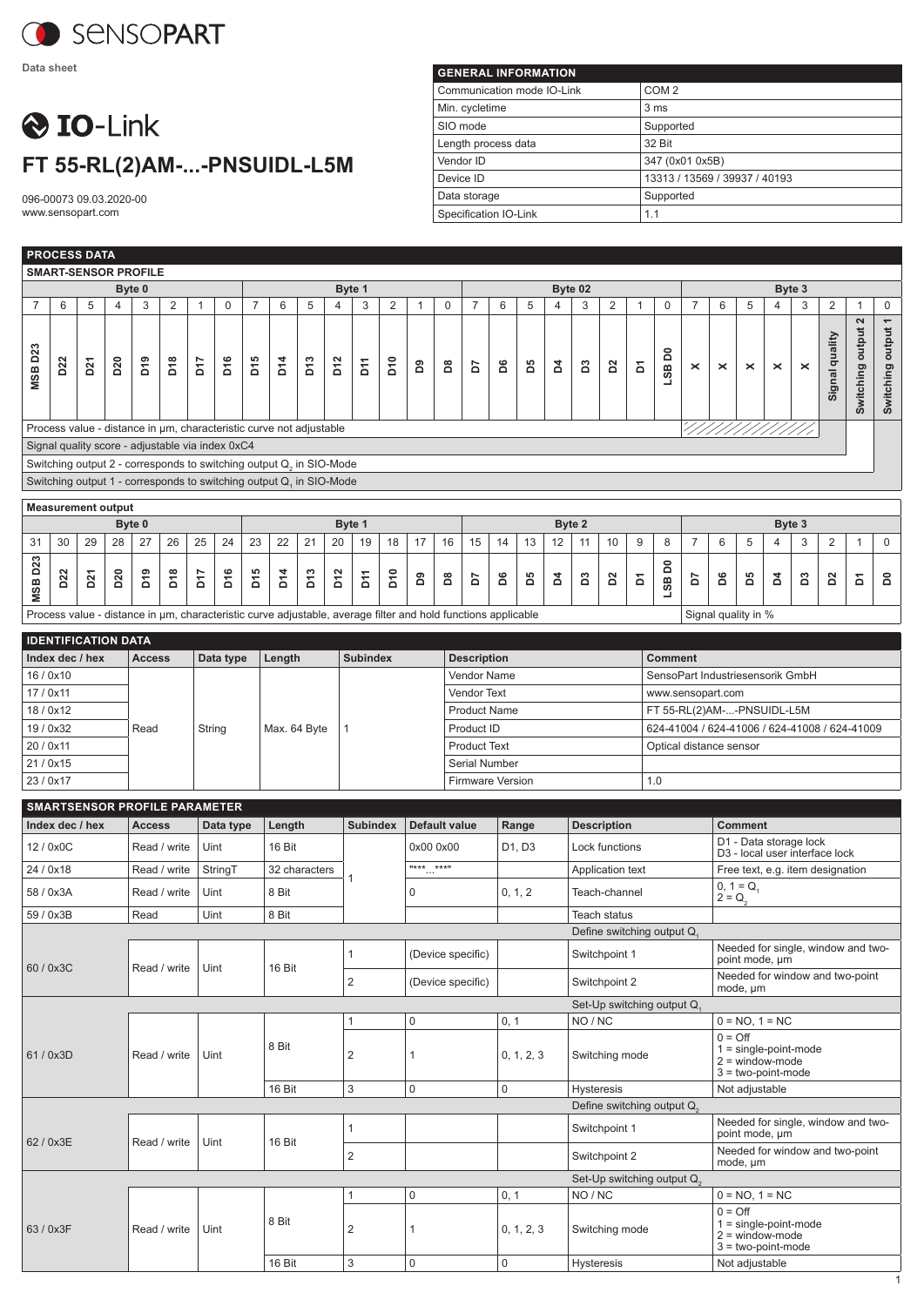

**Data sheet**

## **O** IO-Link **FT 55-RL(2)AM-...-PNSUIDL-L5M**

096-00073 09.03.2020-00 www.sensopart.com

| <b>GENERAL INFORMATION</b> |                               |
|----------------------------|-------------------------------|
| Communication mode IO-Link | COM <sub>2</sub>              |
| Min. cycletime             | 3 <sub>ms</sub>               |
| SIO mode                   | Supported                     |
| Length process data        | 32 Bit                        |
| Vendor ID                  | 347 (0x01 0x5B)               |
| Device ID                  | 13313 / 13569 / 39937 / 40193 |
| Data storage               | Supported                     |
| Specification IO-Link      | 1.1                           |
|                            |                               |

| <b>PROCESS DATA</b>    |
|------------------------|
| ∣ SMART-SENSOR PROFILE |

| $\overline{c}$<br>5<br>6<br>5<br>$\mathbf 0$<br>7<br>6<br>5<br>3<br>$\overline{2}$<br>$\mathbf 0$<br>6<br>$\overline{2}$<br>$\bf 0$<br>$\overline{7}$<br>6<br>5<br>3<br>2<br>$\mathbf 0$<br>4<br>3<br>$\mathbf{1}$<br>4<br>7<br>3<br>4<br>7<br>1<br>4<br>1<br>1<br>Switching output 2<br>Switching output 1<br>Signal quality<br>MSB D23<br>$\mathtt{S}$<br>D18<br>D16<br>D <sub>15</sub><br>D13<br>D12<br>δr<br>D22<br>D <sub>20</sub><br><b>Pro</b><br><b>P17</b><br>D14<br>D21<br>Σ'n<br>å<br>åq<br><b>BQ</b><br>ã<br>ដ<br><sub>2</sub><br>ă<br>Σ<br>Σ<br>$\boldsymbol{\times}$<br>$\pmb{\mathsf{m}}$<br>$\boldsymbol{\times}$<br>$\times$<br>$\times$<br>×<br>$\overline{a}$<br>7777 <u>77777777</u><br>Process value - distance in um, characteristic curve not adjustable<br>Signal quality score - adjustable via index 0xC4<br>Switching output 2 - corresponds to switching output Q <sub>2</sub> in SIO-Mode<br>Switching output 1 - corresponds to switching output Q, in SIO-Mode<br><b>Measurement output</b><br>Byte 0<br>Byte 1<br>Byte 2<br>Byte 3<br>$\mathbf{3}$<br>$\mathbf 0$<br>30<br>29<br>28<br>27<br>26<br>25<br>24<br>23<br>22<br>21<br>20<br>19<br>18<br>17<br>16<br>15<br>14<br>13<br>12<br>11<br>10<br>9<br>8<br>$\overline{7}$<br>6<br>5<br>$\overline{4}$<br>$\overline{2}$<br>$\mathbf{1}$<br>31<br>D <sub>23</sub><br>õ<br>D <sub>15</sub><br>D20<br>D <sub>19</sub><br>D <sub>18</sub><br>D16<br>D14<br>D <sub>13</sub><br>D <sub>12</sub><br>δ<br>D <sub>22</sub><br><b>TIO</b><br>ř<br>D <sub>21</sub><br>පි<br>õ.<br>ద<br>ăq<br>ដ<br>å<br>59<br>Σ<br>5<br>2<br>Σ<br>5<br>ă<br>B<br>δ<br>δ<br>δ<br><b>MSB</b><br><b>SS</b><br>Process value - distance in µm, characteristic curve adjustable, average filter and hold functions applicable<br>Signal quality in %<br><b>IDENTIFICATION DATA</b><br>Index dec / hex<br><b>Access</b><br>Length<br><b>Subindex</b><br><b>Description</b><br><b>Comment</b><br>Data type<br>16/0x10<br><b>Vendor Name</b><br>SensoPart Industriesensorik GmbH<br>17 / 0x11<br><b>Vendor Text</b><br>www.sensopart.com<br>18 / 0x12<br><b>Product Name</b><br>FT 55-RL(2)AM--PNSUIDL-L5M<br>19 / 0x32<br>624-41004 / 624-41006 / 624-41008 / 624-41009<br>Read<br>Max. 64 Byte<br>Product ID<br>String<br>1<br>20 / 0x11<br><b>Product Text</b><br>Optical distance sensor<br>21/0x15<br><b>Serial Number</b><br>23/0x17<br><b>Firmware Version</b><br>1.0<br><b>SMARTSENSOR PROFILE PARAMETER</b><br>Index dec / hex<br>Data type<br>Length<br><b>Subindex</b><br>Default value<br>Range<br><b>Description</b><br><b>Comment</b><br><b>Access</b><br>D1 - Data storage lock<br>Uint<br>16 Bit<br>D1, D3<br>12 / 0x0C<br>Read / write<br>0x00 0x00<br>Lock functions<br>D3 - local user interface lock<br>$\cdots$<br>24 / 0x18<br>Read / write<br>StringT<br>32 characters<br><b>Application text</b><br>Free text, e.g. item designation<br>1<br>$0, 1 = Q$<br>58 / 0x3A<br>8 Bit<br>0, 1, 2<br>Read / write<br>Uint<br>0<br>Teach-channel<br>$2 = Q_{2}$<br>59 / 0x3B<br>8 Bit<br>Read<br>Uint<br>Teach status<br>Define switching output Q.<br>Needed for single, window and two-<br>1<br>(Device specific)<br>Switchpoint 1<br>point mode, um<br>60/0x3C<br>16 Bit<br>Read / write<br>Uint<br>Needed for window and two-point<br>$\overline{2}$<br>Switchpoint 2<br>(Device specific)<br>mode, µm<br>Set-Up switching output Q.<br>$\bf 0$<br>0, 1<br>NO / NC<br>$\mathbf{1}$<br>$0 = NO, 1 = NC$<br>$0 = \bigcirc$<br>8 Bit<br>$1 = single-point-mode$<br>2<br>61/0x3D<br>Uint<br>0, 1, 2, 3<br>Read / write<br>1<br>Switching mode<br>$2 =$ window-mode<br>$3 = two-point-mode$<br>3<br>$\mathbf 0$<br>0<br>16 Bit<br>Not adjustable<br>Hysteresis<br>Define switching output Q<br>Needed for single, window and two-<br>Switchpoint 1<br>$\mathbf{1}$<br>point mode, um<br>62 / 0x3E<br>Read / write<br>Uint<br>16 Bit<br>Needed for window and two-point<br>$\overline{2}$<br>Switchpoint 2<br>mode, µm<br>Set-Up switching output Q <sub>2</sub><br>$\mathbf 0$<br>0, 1<br>NO / NC<br>$0 = NO, 1 = NC$<br>1<br>$0 = \bigcirc$<br>8 Bit<br>$1 = single-point-mode$<br>$\overline{2}$<br>63 / 0x3F<br>Uint<br>Read / write<br>0, 1, 2, 3<br>Switching mode<br>1<br>$2 =$ window-mode<br>$3 = two-point-mode$<br>3<br>0<br>16 Bit<br>$\mathbf 0$<br><b>Hysteresis</b><br>Not adjustable | Byte 0 |  |  |  |  |  | Byte 1 |  |  |  |  |  | Byte 02 |  |  |  |  |  |  | Byte 3 |  |  |  |  |  |  |  |  |  |  |  |  |
|----------------------------------------------------------------------------------------------------------------------------------------------------------------------------------------------------------------------------------------------------------------------------------------------------------------------------------------------------------------------------------------------------------------------------------------------------------------------------------------------------------------------------------------------------------------------------------------------------------------------------------------------------------------------------------------------------------------------------------------------------------------------------------------------------------------------------------------------------------------------------------------------------------------------------------------------------------------------------------------------------------------------------------------------------------------------------------------------------------------------------------------------------------------------------------------------------------------------------------------------------------------------------------------------------------------------------------------------------------------------------------------------------------------------------------------------------------------------------------------------------------------------------------------------------------------------------------------------------------------------------------------------------------------------------------------------------------------------------------------------------------------------------------------------------------------------------------------------------------------------------------------------------------------------------------------------------------------------------------------------------------------------------------------------------------------------------------------------------------------------------------------------------------------------------------------------------------------------------------------------------------------------------------------------------------------------------------------------------------------------------------------------------------------------------------------------------------------------------------------------------------------------------------------------------------------------------------------------------------------------------------------------------------------------------------------------------------------------------------------------------------------------------------------------------------------------------------------------------------------------------------------------------------------------------------------------------------------------------------------------------------------------------------------------------------------------------------------------------------------------------------------------------------------------------------------------------------------------------------------------------------------------------------------------------------------------------------------------------------------------------------------------------------------------------------------------------------------------------------------------------------------------------------------------------------------------------------------------------------------------------------------------------------------------------------------------------------------------------------------------------------------------------------------------------------------------------------------------------------------------------------------------------------------------------------------------------------------------------------------------------------------------------------------------------------------------------------------------------------------------------------------------------------------------------------------------------------------------------------------------------------------------------------------------------------------------------------------------------------------|--------|--|--|--|--|--|--------|--|--|--|--|--|---------|--|--|--|--|--|--|--------|--|--|--|--|--|--|--|--|--|--|--|--|
|                                                                                                                                                                                                                                                                                                                                                                                                                                                                                                                                                                                                                                                                                                                                                                                                                                                                                                                                                                                                                                                                                                                                                                                                                                                                                                                                                                                                                                                                                                                                                                                                                                                                                                                                                                                                                                                                                                                                                                                                                                                                                                                                                                                                                                                                                                                                                                                                                                                                                                                                                                                                                                                                                                                                                                                                                                                                                                                                                                                                                                                                                                                                                                                                                                                                                                                                                                                                                                                                                                                                                                                                                                                                                                                                                                                                                                                                                                                                                                                                                                                                                                                                                                                                                                                                                                                                                                |        |  |  |  |  |  |        |  |  |  |  |  |         |  |  |  |  |  |  |        |  |  |  |  |  |  |  |  |  |  |  |  |
|                                                                                                                                                                                                                                                                                                                                                                                                                                                                                                                                                                                                                                                                                                                                                                                                                                                                                                                                                                                                                                                                                                                                                                                                                                                                                                                                                                                                                                                                                                                                                                                                                                                                                                                                                                                                                                                                                                                                                                                                                                                                                                                                                                                                                                                                                                                                                                                                                                                                                                                                                                                                                                                                                                                                                                                                                                                                                                                                                                                                                                                                                                                                                                                                                                                                                                                                                                                                                                                                                                                                                                                                                                                                                                                                                                                                                                                                                                                                                                                                                                                                                                                                                                                                                                                                                                                                                                |        |  |  |  |  |  |        |  |  |  |  |  |         |  |  |  |  |  |  |        |  |  |  |  |  |  |  |  |  |  |  |  |
| $\mathbf{1}$                                                                                                                                                                                                                                                                                                                                                                                                                                                                                                                                                                                                                                                                                                                                                                                                                                                                                                                                                                                                                                                                                                                                                                                                                                                                                                                                                                                                                                                                                                                                                                                                                                                                                                                                                                                                                                                                                                                                                                                                                                                                                                                                                                                                                                                                                                                                                                                                                                                                                                                                                                                                                                                                                                                                                                                                                                                                                                                                                                                                                                                                                                                                                                                                                                                                                                                                                                                                                                                                                                                                                                                                                                                                                                                                                                                                                                                                                                                                                                                                                                                                                                                                                                                                                                                                                                                                                   |        |  |  |  |  |  |        |  |  |  |  |  |         |  |  |  |  |  |  |        |  |  |  |  |  |  |  |  |  |  |  |  |
|                                                                                                                                                                                                                                                                                                                                                                                                                                                                                                                                                                                                                                                                                                                                                                                                                                                                                                                                                                                                                                                                                                                                                                                                                                                                                                                                                                                                                                                                                                                                                                                                                                                                                                                                                                                                                                                                                                                                                                                                                                                                                                                                                                                                                                                                                                                                                                                                                                                                                                                                                                                                                                                                                                                                                                                                                                                                                                                                                                                                                                                                                                                                                                                                                                                                                                                                                                                                                                                                                                                                                                                                                                                                                                                                                                                                                                                                                                                                                                                                                                                                                                                                                                                                                                                                                                                                                                |        |  |  |  |  |  |        |  |  |  |  |  |         |  |  |  |  |  |  |        |  |  |  |  |  |  |  |  |  |  |  |  |
|                                                                                                                                                                                                                                                                                                                                                                                                                                                                                                                                                                                                                                                                                                                                                                                                                                                                                                                                                                                                                                                                                                                                                                                                                                                                                                                                                                                                                                                                                                                                                                                                                                                                                                                                                                                                                                                                                                                                                                                                                                                                                                                                                                                                                                                                                                                                                                                                                                                                                                                                                                                                                                                                                                                                                                                                                                                                                                                                                                                                                                                                                                                                                                                                                                                                                                                                                                                                                                                                                                                                                                                                                                                                                                                                                                                                                                                                                                                                                                                                                                                                                                                                                                                                                                                                                                                                                                |        |  |  |  |  |  |        |  |  |  |  |  |         |  |  |  |  |  |  |        |  |  |  |  |  |  |  |  |  |  |  |  |
|                                                                                                                                                                                                                                                                                                                                                                                                                                                                                                                                                                                                                                                                                                                                                                                                                                                                                                                                                                                                                                                                                                                                                                                                                                                                                                                                                                                                                                                                                                                                                                                                                                                                                                                                                                                                                                                                                                                                                                                                                                                                                                                                                                                                                                                                                                                                                                                                                                                                                                                                                                                                                                                                                                                                                                                                                                                                                                                                                                                                                                                                                                                                                                                                                                                                                                                                                                                                                                                                                                                                                                                                                                                                                                                                                                                                                                                                                                                                                                                                                                                                                                                                                                                                                                                                                                                                                                |        |  |  |  |  |  |        |  |  |  |  |  |         |  |  |  |  |  |  |        |  |  |  |  |  |  |  |  |  |  |  |  |
|                                                                                                                                                                                                                                                                                                                                                                                                                                                                                                                                                                                                                                                                                                                                                                                                                                                                                                                                                                                                                                                                                                                                                                                                                                                                                                                                                                                                                                                                                                                                                                                                                                                                                                                                                                                                                                                                                                                                                                                                                                                                                                                                                                                                                                                                                                                                                                                                                                                                                                                                                                                                                                                                                                                                                                                                                                                                                                                                                                                                                                                                                                                                                                                                                                                                                                                                                                                                                                                                                                                                                                                                                                                                                                                                                                                                                                                                                                                                                                                                                                                                                                                                                                                                                                                                                                                                                                |        |  |  |  |  |  |        |  |  |  |  |  |         |  |  |  |  |  |  |        |  |  |  |  |  |  |  |  |  |  |  |  |
|                                                                                                                                                                                                                                                                                                                                                                                                                                                                                                                                                                                                                                                                                                                                                                                                                                                                                                                                                                                                                                                                                                                                                                                                                                                                                                                                                                                                                                                                                                                                                                                                                                                                                                                                                                                                                                                                                                                                                                                                                                                                                                                                                                                                                                                                                                                                                                                                                                                                                                                                                                                                                                                                                                                                                                                                                                                                                                                                                                                                                                                                                                                                                                                                                                                                                                                                                                                                                                                                                                                                                                                                                                                                                                                                                                                                                                                                                                                                                                                                                                                                                                                                                                                                                                                                                                                                                                |        |  |  |  |  |  |        |  |  |  |  |  |         |  |  |  |  |  |  |        |  |  |  |  |  |  |  |  |  |  |  |  |
|                                                                                                                                                                                                                                                                                                                                                                                                                                                                                                                                                                                                                                                                                                                                                                                                                                                                                                                                                                                                                                                                                                                                                                                                                                                                                                                                                                                                                                                                                                                                                                                                                                                                                                                                                                                                                                                                                                                                                                                                                                                                                                                                                                                                                                                                                                                                                                                                                                                                                                                                                                                                                                                                                                                                                                                                                                                                                                                                                                                                                                                                                                                                                                                                                                                                                                                                                                                                                                                                                                                                                                                                                                                                                                                                                                                                                                                                                                                                                                                                                                                                                                                                                                                                                                                                                                                                                                |        |  |  |  |  |  |        |  |  |  |  |  |         |  |  |  |  |  |  |        |  |  |  |  |  |  |  |  |  |  |  |  |
|                                                                                                                                                                                                                                                                                                                                                                                                                                                                                                                                                                                                                                                                                                                                                                                                                                                                                                                                                                                                                                                                                                                                                                                                                                                                                                                                                                                                                                                                                                                                                                                                                                                                                                                                                                                                                                                                                                                                                                                                                                                                                                                                                                                                                                                                                                                                                                                                                                                                                                                                                                                                                                                                                                                                                                                                                                                                                                                                                                                                                                                                                                                                                                                                                                                                                                                                                                                                                                                                                                                                                                                                                                                                                                                                                                                                                                                                                                                                                                                                                                                                                                                                                                                                                                                                                                                                                                |        |  |  |  |  |  |        |  |  |  |  |  |         |  |  |  |  |  |  |        |  |  |  |  |  |  |  |  |  |  |  |  |
|                                                                                                                                                                                                                                                                                                                                                                                                                                                                                                                                                                                                                                                                                                                                                                                                                                                                                                                                                                                                                                                                                                                                                                                                                                                                                                                                                                                                                                                                                                                                                                                                                                                                                                                                                                                                                                                                                                                                                                                                                                                                                                                                                                                                                                                                                                                                                                                                                                                                                                                                                                                                                                                                                                                                                                                                                                                                                                                                                                                                                                                                                                                                                                                                                                                                                                                                                                                                                                                                                                                                                                                                                                                                                                                                                                                                                                                                                                                                                                                                                                                                                                                                                                                                                                                                                                                                                                |        |  |  |  |  |  |        |  |  |  |  |  |         |  |  |  |  |  |  |        |  |  |  |  |  |  |  |  |  |  |  |  |
|                                                                                                                                                                                                                                                                                                                                                                                                                                                                                                                                                                                                                                                                                                                                                                                                                                                                                                                                                                                                                                                                                                                                                                                                                                                                                                                                                                                                                                                                                                                                                                                                                                                                                                                                                                                                                                                                                                                                                                                                                                                                                                                                                                                                                                                                                                                                                                                                                                                                                                                                                                                                                                                                                                                                                                                                                                                                                                                                                                                                                                                                                                                                                                                                                                                                                                                                                                                                                                                                                                                                                                                                                                                                                                                                                                                                                                                                                                                                                                                                                                                                                                                                                                                                                                                                                                                                                                |        |  |  |  |  |  |        |  |  |  |  |  |         |  |  |  |  |  |  |        |  |  |  |  |  |  |  |  |  |  |  |  |
|                                                                                                                                                                                                                                                                                                                                                                                                                                                                                                                                                                                                                                                                                                                                                                                                                                                                                                                                                                                                                                                                                                                                                                                                                                                                                                                                                                                                                                                                                                                                                                                                                                                                                                                                                                                                                                                                                                                                                                                                                                                                                                                                                                                                                                                                                                                                                                                                                                                                                                                                                                                                                                                                                                                                                                                                                                                                                                                                                                                                                                                                                                                                                                                                                                                                                                                                                                                                                                                                                                                                                                                                                                                                                                                                                                                                                                                                                                                                                                                                                                                                                                                                                                                                                                                                                                                                                                |        |  |  |  |  |  |        |  |  |  |  |  |         |  |  |  |  |  |  |        |  |  |  |  |  |  |  |  |  |  |  |  |
|                                                                                                                                                                                                                                                                                                                                                                                                                                                                                                                                                                                                                                                                                                                                                                                                                                                                                                                                                                                                                                                                                                                                                                                                                                                                                                                                                                                                                                                                                                                                                                                                                                                                                                                                                                                                                                                                                                                                                                                                                                                                                                                                                                                                                                                                                                                                                                                                                                                                                                                                                                                                                                                                                                                                                                                                                                                                                                                                                                                                                                                                                                                                                                                                                                                                                                                                                                                                                                                                                                                                                                                                                                                                                                                                                                                                                                                                                                                                                                                                                                                                                                                                                                                                                                                                                                                                                                |        |  |  |  |  |  |        |  |  |  |  |  |         |  |  |  |  |  |  |        |  |  |  |  |  |  |  |  |  |  |  |  |
|                                                                                                                                                                                                                                                                                                                                                                                                                                                                                                                                                                                                                                                                                                                                                                                                                                                                                                                                                                                                                                                                                                                                                                                                                                                                                                                                                                                                                                                                                                                                                                                                                                                                                                                                                                                                                                                                                                                                                                                                                                                                                                                                                                                                                                                                                                                                                                                                                                                                                                                                                                                                                                                                                                                                                                                                                                                                                                                                                                                                                                                                                                                                                                                                                                                                                                                                                                                                                                                                                                                                                                                                                                                                                                                                                                                                                                                                                                                                                                                                                                                                                                                                                                                                                                                                                                                                                                |        |  |  |  |  |  |        |  |  |  |  |  |         |  |  |  |  |  |  |        |  |  |  |  |  |  |  |  |  |  |  |  |
|                                                                                                                                                                                                                                                                                                                                                                                                                                                                                                                                                                                                                                                                                                                                                                                                                                                                                                                                                                                                                                                                                                                                                                                                                                                                                                                                                                                                                                                                                                                                                                                                                                                                                                                                                                                                                                                                                                                                                                                                                                                                                                                                                                                                                                                                                                                                                                                                                                                                                                                                                                                                                                                                                                                                                                                                                                                                                                                                                                                                                                                                                                                                                                                                                                                                                                                                                                                                                                                                                                                                                                                                                                                                                                                                                                                                                                                                                                                                                                                                                                                                                                                                                                                                                                                                                                                                                                |        |  |  |  |  |  |        |  |  |  |  |  |         |  |  |  |  |  |  |        |  |  |  |  |  |  |  |  |  |  |  |  |
|                                                                                                                                                                                                                                                                                                                                                                                                                                                                                                                                                                                                                                                                                                                                                                                                                                                                                                                                                                                                                                                                                                                                                                                                                                                                                                                                                                                                                                                                                                                                                                                                                                                                                                                                                                                                                                                                                                                                                                                                                                                                                                                                                                                                                                                                                                                                                                                                                                                                                                                                                                                                                                                                                                                                                                                                                                                                                                                                                                                                                                                                                                                                                                                                                                                                                                                                                                                                                                                                                                                                                                                                                                                                                                                                                                                                                                                                                                                                                                                                                                                                                                                                                                                                                                                                                                                                                                |        |  |  |  |  |  |        |  |  |  |  |  |         |  |  |  |  |  |  |        |  |  |  |  |  |  |  |  |  |  |  |  |
|                                                                                                                                                                                                                                                                                                                                                                                                                                                                                                                                                                                                                                                                                                                                                                                                                                                                                                                                                                                                                                                                                                                                                                                                                                                                                                                                                                                                                                                                                                                                                                                                                                                                                                                                                                                                                                                                                                                                                                                                                                                                                                                                                                                                                                                                                                                                                                                                                                                                                                                                                                                                                                                                                                                                                                                                                                                                                                                                                                                                                                                                                                                                                                                                                                                                                                                                                                                                                                                                                                                                                                                                                                                                                                                                                                                                                                                                                                                                                                                                                                                                                                                                                                                                                                                                                                                                                                |        |  |  |  |  |  |        |  |  |  |  |  |         |  |  |  |  |  |  |        |  |  |  |  |  |  |  |  |  |  |  |  |
|                                                                                                                                                                                                                                                                                                                                                                                                                                                                                                                                                                                                                                                                                                                                                                                                                                                                                                                                                                                                                                                                                                                                                                                                                                                                                                                                                                                                                                                                                                                                                                                                                                                                                                                                                                                                                                                                                                                                                                                                                                                                                                                                                                                                                                                                                                                                                                                                                                                                                                                                                                                                                                                                                                                                                                                                                                                                                                                                                                                                                                                                                                                                                                                                                                                                                                                                                                                                                                                                                                                                                                                                                                                                                                                                                                                                                                                                                                                                                                                                                                                                                                                                                                                                                                                                                                                                                                |        |  |  |  |  |  |        |  |  |  |  |  |         |  |  |  |  |  |  |        |  |  |  |  |  |  |  |  |  |  |  |  |
|                                                                                                                                                                                                                                                                                                                                                                                                                                                                                                                                                                                                                                                                                                                                                                                                                                                                                                                                                                                                                                                                                                                                                                                                                                                                                                                                                                                                                                                                                                                                                                                                                                                                                                                                                                                                                                                                                                                                                                                                                                                                                                                                                                                                                                                                                                                                                                                                                                                                                                                                                                                                                                                                                                                                                                                                                                                                                                                                                                                                                                                                                                                                                                                                                                                                                                                                                                                                                                                                                                                                                                                                                                                                                                                                                                                                                                                                                                                                                                                                                                                                                                                                                                                                                                                                                                                                                                |        |  |  |  |  |  |        |  |  |  |  |  |         |  |  |  |  |  |  |        |  |  |  |  |  |  |  |  |  |  |  |  |
|                                                                                                                                                                                                                                                                                                                                                                                                                                                                                                                                                                                                                                                                                                                                                                                                                                                                                                                                                                                                                                                                                                                                                                                                                                                                                                                                                                                                                                                                                                                                                                                                                                                                                                                                                                                                                                                                                                                                                                                                                                                                                                                                                                                                                                                                                                                                                                                                                                                                                                                                                                                                                                                                                                                                                                                                                                                                                                                                                                                                                                                                                                                                                                                                                                                                                                                                                                                                                                                                                                                                                                                                                                                                                                                                                                                                                                                                                                                                                                                                                                                                                                                                                                                                                                                                                                                                                                |        |  |  |  |  |  |        |  |  |  |  |  |         |  |  |  |  |  |  |        |  |  |  |  |  |  |  |  |  |  |  |  |
|                                                                                                                                                                                                                                                                                                                                                                                                                                                                                                                                                                                                                                                                                                                                                                                                                                                                                                                                                                                                                                                                                                                                                                                                                                                                                                                                                                                                                                                                                                                                                                                                                                                                                                                                                                                                                                                                                                                                                                                                                                                                                                                                                                                                                                                                                                                                                                                                                                                                                                                                                                                                                                                                                                                                                                                                                                                                                                                                                                                                                                                                                                                                                                                                                                                                                                                                                                                                                                                                                                                                                                                                                                                                                                                                                                                                                                                                                                                                                                                                                                                                                                                                                                                                                                                                                                                                                                |        |  |  |  |  |  |        |  |  |  |  |  |         |  |  |  |  |  |  |        |  |  |  |  |  |  |  |  |  |  |  |  |
|                                                                                                                                                                                                                                                                                                                                                                                                                                                                                                                                                                                                                                                                                                                                                                                                                                                                                                                                                                                                                                                                                                                                                                                                                                                                                                                                                                                                                                                                                                                                                                                                                                                                                                                                                                                                                                                                                                                                                                                                                                                                                                                                                                                                                                                                                                                                                                                                                                                                                                                                                                                                                                                                                                                                                                                                                                                                                                                                                                                                                                                                                                                                                                                                                                                                                                                                                                                                                                                                                                                                                                                                                                                                                                                                                                                                                                                                                                                                                                                                                                                                                                                                                                                                                                                                                                                                                                |        |  |  |  |  |  |        |  |  |  |  |  |         |  |  |  |  |  |  |        |  |  |  |  |  |  |  |  |  |  |  |  |
|                                                                                                                                                                                                                                                                                                                                                                                                                                                                                                                                                                                                                                                                                                                                                                                                                                                                                                                                                                                                                                                                                                                                                                                                                                                                                                                                                                                                                                                                                                                                                                                                                                                                                                                                                                                                                                                                                                                                                                                                                                                                                                                                                                                                                                                                                                                                                                                                                                                                                                                                                                                                                                                                                                                                                                                                                                                                                                                                                                                                                                                                                                                                                                                                                                                                                                                                                                                                                                                                                                                                                                                                                                                                                                                                                                                                                                                                                                                                                                                                                                                                                                                                                                                                                                                                                                                                                                |        |  |  |  |  |  |        |  |  |  |  |  |         |  |  |  |  |  |  |        |  |  |  |  |  |  |  |  |  |  |  |  |
|                                                                                                                                                                                                                                                                                                                                                                                                                                                                                                                                                                                                                                                                                                                                                                                                                                                                                                                                                                                                                                                                                                                                                                                                                                                                                                                                                                                                                                                                                                                                                                                                                                                                                                                                                                                                                                                                                                                                                                                                                                                                                                                                                                                                                                                                                                                                                                                                                                                                                                                                                                                                                                                                                                                                                                                                                                                                                                                                                                                                                                                                                                                                                                                                                                                                                                                                                                                                                                                                                                                                                                                                                                                                                                                                                                                                                                                                                                                                                                                                                                                                                                                                                                                                                                                                                                                                                                |        |  |  |  |  |  |        |  |  |  |  |  |         |  |  |  |  |  |  |        |  |  |  |  |  |  |  |  |  |  |  |  |
|                                                                                                                                                                                                                                                                                                                                                                                                                                                                                                                                                                                                                                                                                                                                                                                                                                                                                                                                                                                                                                                                                                                                                                                                                                                                                                                                                                                                                                                                                                                                                                                                                                                                                                                                                                                                                                                                                                                                                                                                                                                                                                                                                                                                                                                                                                                                                                                                                                                                                                                                                                                                                                                                                                                                                                                                                                                                                                                                                                                                                                                                                                                                                                                                                                                                                                                                                                                                                                                                                                                                                                                                                                                                                                                                                                                                                                                                                                                                                                                                                                                                                                                                                                                                                                                                                                                                                                |        |  |  |  |  |  |        |  |  |  |  |  |         |  |  |  |  |  |  |        |  |  |  |  |  |  |  |  |  |  |  |  |
|                                                                                                                                                                                                                                                                                                                                                                                                                                                                                                                                                                                                                                                                                                                                                                                                                                                                                                                                                                                                                                                                                                                                                                                                                                                                                                                                                                                                                                                                                                                                                                                                                                                                                                                                                                                                                                                                                                                                                                                                                                                                                                                                                                                                                                                                                                                                                                                                                                                                                                                                                                                                                                                                                                                                                                                                                                                                                                                                                                                                                                                                                                                                                                                                                                                                                                                                                                                                                                                                                                                                                                                                                                                                                                                                                                                                                                                                                                                                                                                                                                                                                                                                                                                                                                                                                                                                                                |        |  |  |  |  |  |        |  |  |  |  |  |         |  |  |  |  |  |  |        |  |  |  |  |  |  |  |  |  |  |  |  |
|                                                                                                                                                                                                                                                                                                                                                                                                                                                                                                                                                                                                                                                                                                                                                                                                                                                                                                                                                                                                                                                                                                                                                                                                                                                                                                                                                                                                                                                                                                                                                                                                                                                                                                                                                                                                                                                                                                                                                                                                                                                                                                                                                                                                                                                                                                                                                                                                                                                                                                                                                                                                                                                                                                                                                                                                                                                                                                                                                                                                                                                                                                                                                                                                                                                                                                                                                                                                                                                                                                                                                                                                                                                                                                                                                                                                                                                                                                                                                                                                                                                                                                                                                                                                                                                                                                                                                                |        |  |  |  |  |  |        |  |  |  |  |  |         |  |  |  |  |  |  |        |  |  |  |  |  |  |  |  |  |  |  |  |
|                                                                                                                                                                                                                                                                                                                                                                                                                                                                                                                                                                                                                                                                                                                                                                                                                                                                                                                                                                                                                                                                                                                                                                                                                                                                                                                                                                                                                                                                                                                                                                                                                                                                                                                                                                                                                                                                                                                                                                                                                                                                                                                                                                                                                                                                                                                                                                                                                                                                                                                                                                                                                                                                                                                                                                                                                                                                                                                                                                                                                                                                                                                                                                                                                                                                                                                                                                                                                                                                                                                                                                                                                                                                                                                                                                                                                                                                                                                                                                                                                                                                                                                                                                                                                                                                                                                                                                |        |  |  |  |  |  |        |  |  |  |  |  |         |  |  |  |  |  |  |        |  |  |  |  |  |  |  |  |  |  |  |  |
|                                                                                                                                                                                                                                                                                                                                                                                                                                                                                                                                                                                                                                                                                                                                                                                                                                                                                                                                                                                                                                                                                                                                                                                                                                                                                                                                                                                                                                                                                                                                                                                                                                                                                                                                                                                                                                                                                                                                                                                                                                                                                                                                                                                                                                                                                                                                                                                                                                                                                                                                                                                                                                                                                                                                                                                                                                                                                                                                                                                                                                                                                                                                                                                                                                                                                                                                                                                                                                                                                                                                                                                                                                                                                                                                                                                                                                                                                                                                                                                                                                                                                                                                                                                                                                                                                                                                                                |        |  |  |  |  |  |        |  |  |  |  |  |         |  |  |  |  |  |  |        |  |  |  |  |  |  |  |  |  |  |  |  |
|                                                                                                                                                                                                                                                                                                                                                                                                                                                                                                                                                                                                                                                                                                                                                                                                                                                                                                                                                                                                                                                                                                                                                                                                                                                                                                                                                                                                                                                                                                                                                                                                                                                                                                                                                                                                                                                                                                                                                                                                                                                                                                                                                                                                                                                                                                                                                                                                                                                                                                                                                                                                                                                                                                                                                                                                                                                                                                                                                                                                                                                                                                                                                                                                                                                                                                                                                                                                                                                                                                                                                                                                                                                                                                                                                                                                                                                                                                                                                                                                                                                                                                                                                                                                                                                                                                                                                                |        |  |  |  |  |  |        |  |  |  |  |  |         |  |  |  |  |  |  |        |  |  |  |  |  |  |  |  |  |  |  |  |
|                                                                                                                                                                                                                                                                                                                                                                                                                                                                                                                                                                                                                                                                                                                                                                                                                                                                                                                                                                                                                                                                                                                                                                                                                                                                                                                                                                                                                                                                                                                                                                                                                                                                                                                                                                                                                                                                                                                                                                                                                                                                                                                                                                                                                                                                                                                                                                                                                                                                                                                                                                                                                                                                                                                                                                                                                                                                                                                                                                                                                                                                                                                                                                                                                                                                                                                                                                                                                                                                                                                                                                                                                                                                                                                                                                                                                                                                                                                                                                                                                                                                                                                                                                                                                                                                                                                                                                |        |  |  |  |  |  |        |  |  |  |  |  |         |  |  |  |  |  |  |        |  |  |  |  |  |  |  |  |  |  |  |  |
|                                                                                                                                                                                                                                                                                                                                                                                                                                                                                                                                                                                                                                                                                                                                                                                                                                                                                                                                                                                                                                                                                                                                                                                                                                                                                                                                                                                                                                                                                                                                                                                                                                                                                                                                                                                                                                                                                                                                                                                                                                                                                                                                                                                                                                                                                                                                                                                                                                                                                                                                                                                                                                                                                                                                                                                                                                                                                                                                                                                                                                                                                                                                                                                                                                                                                                                                                                                                                                                                                                                                                                                                                                                                                                                                                                                                                                                                                                                                                                                                                                                                                                                                                                                                                                                                                                                                                                |        |  |  |  |  |  |        |  |  |  |  |  |         |  |  |  |  |  |  |        |  |  |  |  |  |  |  |  |  |  |  |  |
|                                                                                                                                                                                                                                                                                                                                                                                                                                                                                                                                                                                                                                                                                                                                                                                                                                                                                                                                                                                                                                                                                                                                                                                                                                                                                                                                                                                                                                                                                                                                                                                                                                                                                                                                                                                                                                                                                                                                                                                                                                                                                                                                                                                                                                                                                                                                                                                                                                                                                                                                                                                                                                                                                                                                                                                                                                                                                                                                                                                                                                                                                                                                                                                                                                                                                                                                                                                                                                                                                                                                                                                                                                                                                                                                                                                                                                                                                                                                                                                                                                                                                                                                                                                                                                                                                                                                                                |        |  |  |  |  |  |        |  |  |  |  |  |         |  |  |  |  |  |  |        |  |  |  |  |  |  |  |  |  |  |  |  |
|                                                                                                                                                                                                                                                                                                                                                                                                                                                                                                                                                                                                                                                                                                                                                                                                                                                                                                                                                                                                                                                                                                                                                                                                                                                                                                                                                                                                                                                                                                                                                                                                                                                                                                                                                                                                                                                                                                                                                                                                                                                                                                                                                                                                                                                                                                                                                                                                                                                                                                                                                                                                                                                                                                                                                                                                                                                                                                                                                                                                                                                                                                                                                                                                                                                                                                                                                                                                                                                                                                                                                                                                                                                                                                                                                                                                                                                                                                                                                                                                                                                                                                                                                                                                                                                                                                                                                                |        |  |  |  |  |  |        |  |  |  |  |  |         |  |  |  |  |  |  |        |  |  |  |  |  |  |  |  |  |  |  |  |
|                                                                                                                                                                                                                                                                                                                                                                                                                                                                                                                                                                                                                                                                                                                                                                                                                                                                                                                                                                                                                                                                                                                                                                                                                                                                                                                                                                                                                                                                                                                                                                                                                                                                                                                                                                                                                                                                                                                                                                                                                                                                                                                                                                                                                                                                                                                                                                                                                                                                                                                                                                                                                                                                                                                                                                                                                                                                                                                                                                                                                                                                                                                                                                                                                                                                                                                                                                                                                                                                                                                                                                                                                                                                                                                                                                                                                                                                                                                                                                                                                                                                                                                                                                                                                                                                                                                                                                |        |  |  |  |  |  |        |  |  |  |  |  |         |  |  |  |  |  |  |        |  |  |  |  |  |  |  |  |  |  |  |  |
|                                                                                                                                                                                                                                                                                                                                                                                                                                                                                                                                                                                                                                                                                                                                                                                                                                                                                                                                                                                                                                                                                                                                                                                                                                                                                                                                                                                                                                                                                                                                                                                                                                                                                                                                                                                                                                                                                                                                                                                                                                                                                                                                                                                                                                                                                                                                                                                                                                                                                                                                                                                                                                                                                                                                                                                                                                                                                                                                                                                                                                                                                                                                                                                                                                                                                                                                                                                                                                                                                                                                                                                                                                                                                                                                                                                                                                                                                                                                                                                                                                                                                                                                                                                                                                                                                                                                                                |        |  |  |  |  |  |        |  |  |  |  |  |         |  |  |  |  |  |  |        |  |  |  |  |  |  |  |  |  |  |  |  |
|                                                                                                                                                                                                                                                                                                                                                                                                                                                                                                                                                                                                                                                                                                                                                                                                                                                                                                                                                                                                                                                                                                                                                                                                                                                                                                                                                                                                                                                                                                                                                                                                                                                                                                                                                                                                                                                                                                                                                                                                                                                                                                                                                                                                                                                                                                                                                                                                                                                                                                                                                                                                                                                                                                                                                                                                                                                                                                                                                                                                                                                                                                                                                                                                                                                                                                                                                                                                                                                                                                                                                                                                                                                                                                                                                                                                                                                                                                                                                                                                                                                                                                                                                                                                                                                                                                                                                                |        |  |  |  |  |  |        |  |  |  |  |  |         |  |  |  |  |  |  |        |  |  |  |  |  |  |  |  |  |  |  |  |
|                                                                                                                                                                                                                                                                                                                                                                                                                                                                                                                                                                                                                                                                                                                                                                                                                                                                                                                                                                                                                                                                                                                                                                                                                                                                                                                                                                                                                                                                                                                                                                                                                                                                                                                                                                                                                                                                                                                                                                                                                                                                                                                                                                                                                                                                                                                                                                                                                                                                                                                                                                                                                                                                                                                                                                                                                                                                                                                                                                                                                                                                                                                                                                                                                                                                                                                                                                                                                                                                                                                                                                                                                                                                                                                                                                                                                                                                                                                                                                                                                                                                                                                                                                                                                                                                                                                                                                |        |  |  |  |  |  |        |  |  |  |  |  |         |  |  |  |  |  |  |        |  |  |  |  |  |  |  |  |  |  |  |  |
|                                                                                                                                                                                                                                                                                                                                                                                                                                                                                                                                                                                                                                                                                                                                                                                                                                                                                                                                                                                                                                                                                                                                                                                                                                                                                                                                                                                                                                                                                                                                                                                                                                                                                                                                                                                                                                                                                                                                                                                                                                                                                                                                                                                                                                                                                                                                                                                                                                                                                                                                                                                                                                                                                                                                                                                                                                                                                                                                                                                                                                                                                                                                                                                                                                                                                                                                                                                                                                                                                                                                                                                                                                                                                                                                                                                                                                                                                                                                                                                                                                                                                                                                                                                                                                                                                                                                                                |        |  |  |  |  |  |        |  |  |  |  |  |         |  |  |  |  |  |  |        |  |  |  |  |  |  |  |  |  |  |  |  |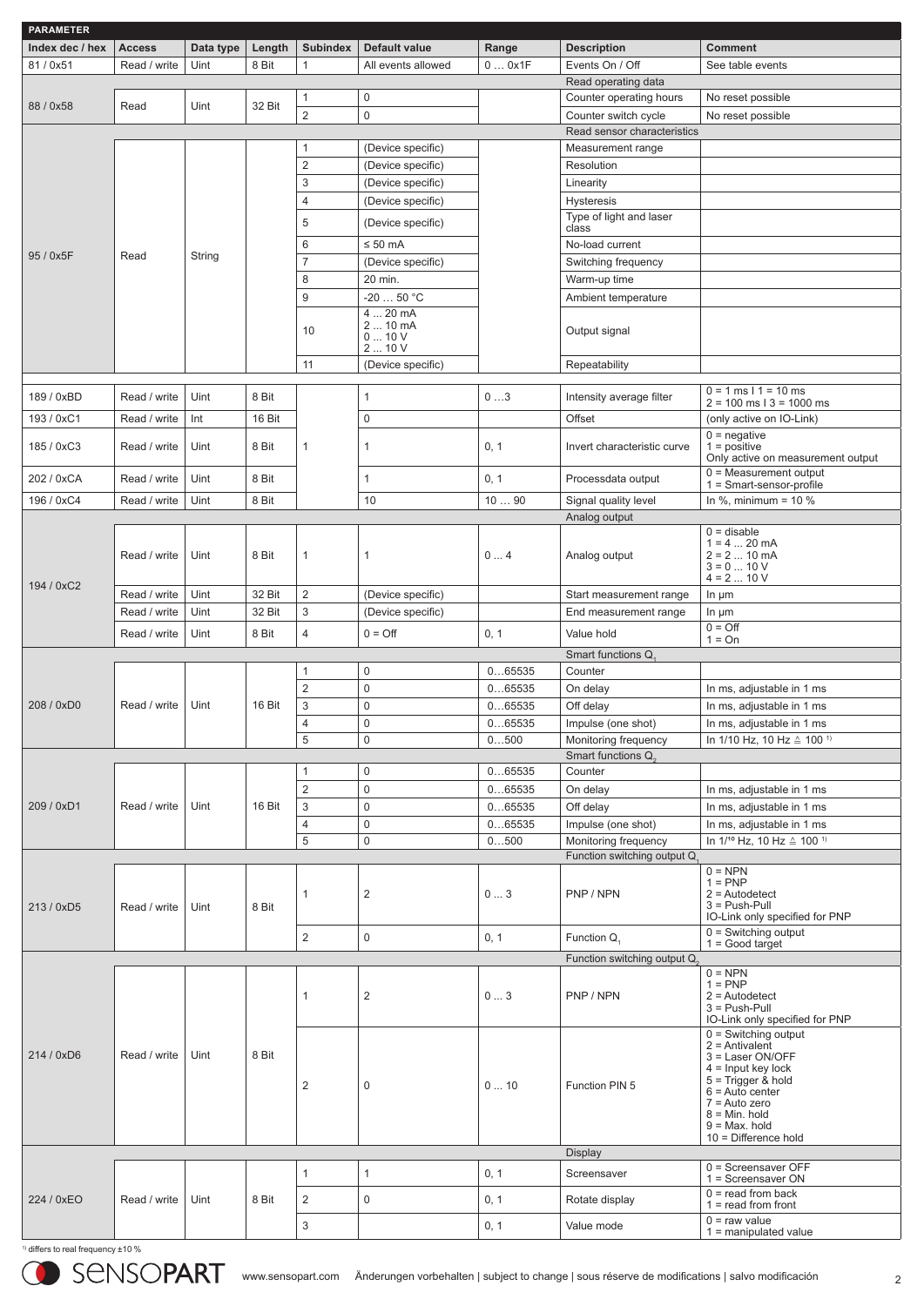| <b>PARAMETER</b>                 |              |           |        |                 |                                   |        |                              |                                                                                                                                                                                                                       |
|----------------------------------|--------------|-----------|--------|-----------------|-----------------------------------|--------|------------------------------|-----------------------------------------------------------------------------------------------------------------------------------------------------------------------------------------------------------------------|
| Index dec / hex<br><b>Access</b> |              | Data type | Length | <b>Subindex</b> | Default value                     | Range  | <b>Description</b>           | <b>Comment</b>                                                                                                                                                                                                        |
| 81 / 0x51<br>Read / write        |              | Uint      | 8 Bit  | $\mathbf{1}$    | All events allowed                | 00x1F  | Events On / Off              | See table events                                                                                                                                                                                                      |
|                                  |              |           |        |                 |                                   |        | Read operating data          |                                                                                                                                                                                                                       |
|                                  |              |           |        | 1               | 0                                 |        | Counter operating hours      | No reset possible                                                                                                                                                                                                     |
| 88 / 0x58                        | Read         | Uint      | 32 Bit | $\overline{2}$  | $\mathbf 0$                       |        | Counter switch cycle         | No reset possible                                                                                                                                                                                                     |
|                                  |              |           |        |                 |                                   |        | Read sensor characteristics  |                                                                                                                                                                                                                       |
|                                  |              |           |        | $\mathbf{1}$    | (Device specific)                 |        | Measurement range            |                                                                                                                                                                                                                       |
|                                  |              |           |        | 2               | (Device specific)                 |        | Resolution                   |                                                                                                                                                                                                                       |
|                                  |              |           |        | 3               | (Device specific)                 |        | Linearity                    |                                                                                                                                                                                                                       |
|                                  |              |           |        | $\overline{4}$  | (Device specific)                 |        | <b>Hysteresis</b>            |                                                                                                                                                                                                                       |
|                                  |              |           |        |                 |                                   |        | Type of light and laser      |                                                                                                                                                                                                                       |
|                                  |              |           |        | 5               | (Device specific)                 |        | class                        |                                                                                                                                                                                                                       |
|                                  |              |           |        | 6               | $\leq 50$ mA                      |        | No-load current              |                                                                                                                                                                                                                       |
| 95 / 0x5F                        | Read         | String    |        | $\overline{7}$  | (Device specific)                 |        | Switching frequency          |                                                                                                                                                                                                                       |
|                                  |              |           |        | 8               | 20 min.                           |        | Warm-up time                 |                                                                                                                                                                                                                       |
|                                  |              |           |        | 9               | $-2050 °C$                        |        | Ambient temperature          |                                                                                                                                                                                                                       |
|                                  |              |           |        | 10              | 4  20 mA<br>210mA<br>010V<br>210V |        | Output signal                |                                                                                                                                                                                                                       |
|                                  |              |           |        | 11              | (Device specific)                 |        | Repeatability                |                                                                                                                                                                                                                       |
| 189 / 0xBD                       | Read / write | Uint      | 8 Bit  |                 | 1                                 | 03     | Intensity average filter     | $0 = 1$ ms $11 = 10$ ms                                                                                                                                                                                               |
|                                  |              |           |        |                 |                                   |        |                              | $2 = 100$ ms $13 = 1000$ ms                                                                                                                                                                                           |
| 193 / 0xC1                       | Read / write | Int       | 16 Bit |                 | 0                                 |        | Offset                       | (only active on IO-Link)                                                                                                                                                                                              |
| 185 / 0xC3                       | Read / write | Uint      | 8 Bit  | $\mathbf{1}$    | 1                                 | 0, 1   | Invert characteristic curve  | $0$ = negative<br>$1 = positive$<br>Only active on measurement output                                                                                                                                                 |
| 202 / 0xCA                       | Read / write | Uint      | 8 Bit  |                 | $\mathbf{1}$                      | 0, 1   | Processdata output           | $0 = Measurement$ output                                                                                                                                                                                              |
| 196 / 0xC4                       |              |           |        |                 |                                   |        |                              | $1 =$ Smart-sensor-profile                                                                                                                                                                                            |
|                                  | Read / write | Uint      | 8 Bit  |                 | 10                                | 1090   | Signal quality level         | In %, minimum = $10%$                                                                                                                                                                                                 |
|                                  |              |           |        |                 |                                   |        | Analog output                | $0 =$ disable                                                                                                                                                                                                         |
| 194 / 0xC2                       | Read / write | Uint      | 8 Bit  | 1               | 1                                 | 04     | Analog output                | $1 = 4  20$ mA<br>$2 = 2  10$ mA<br>$3 = 0  10 V$<br>$4 = 2  10 V$                                                                                                                                                    |
|                                  | Read / write | Uint      | 32 Bit | $\overline{2}$  | (Device specific)                 |        | Start measurement range      | $ln \mu m$                                                                                                                                                                                                            |
|                                  | Read / write | Uint      | 32 Bit | 3               | (Device specific)                 |        | End measurement range        | $ln \mu m$                                                                                                                                                                                                            |
|                                  | Read / write | Uint      | 8 Bit  | $\overline{4}$  | $0 = \text{Off}$                  | 0, 1   | Value hold                   | $0 = \bigcirc$<br>$1 = On$                                                                                                                                                                                            |
|                                  |              |           |        |                 |                                   |        | Smart functions Q            |                                                                                                                                                                                                                       |
|                                  |              |           |        | 1               | $\mathbf 0$                       | 065535 | Counter                      |                                                                                                                                                                                                                       |
|                                  |              |           |        | $\overline{2}$  | $\bf 0$                           | 065535 | On delay                     | In ms, adjustable in 1 ms                                                                                                                                                                                             |
| 208 / 0xD0                       | Read / write | Uint      | 16 Bit | 3               | $\mathbf 0$                       | 065535 | Off delay                    | In ms, adjustable in 1 ms                                                                                                                                                                                             |
|                                  |              |           |        | 4               | 0                                 | 065535 | Impulse (one shot)           | In ms, adjustable in 1 ms                                                                                                                                                                                             |
|                                  |              |           |        | 5               | $\mathbf{0}$                      | 0500   | Monitoring frequency         | In 1/10 Hz, 10 Hz $\triangleq$ 100 <sup>1</sup>                                                                                                                                                                       |
|                                  |              |           |        |                 |                                   |        | Smart functions Q            |                                                                                                                                                                                                                       |
|                                  |              |           |        | $\mathbf{1}$    | $\mathsf 0$                       | 065535 | Counter                      |                                                                                                                                                                                                                       |
|                                  | Read / write |           |        | $\overline{2}$  | $\mathsf 0$                       | 065535 | On delay                     | In ms, adjustable in 1 ms                                                                                                                                                                                             |
| 209 / 0xD1                       |              | Uint      | 16 Bit | 3               | $\mathsf 0$                       | 065535 | Off delay                    | In ms, adjustable in 1 ms                                                                                                                                                                                             |
|                                  |              |           |        | $\overline{4}$  | $\mathsf 0$                       | 065535 | Impulse (one shot)           | In ms, adjustable in 1 ms                                                                                                                                                                                             |
|                                  |              |           |        | 5               | $\mathbf 0$                       | 0500   | Monitoring frequency         | In 1/ <sup>10</sup> Hz, 10 Hz $\triangleq$ 100 <sup>1</sup>                                                                                                                                                           |
|                                  |              |           |        |                 |                                   |        | Function switching output Q  |                                                                                                                                                                                                                       |
| 213 / 0xD5                       | Read / write | Uint      | 8 Bit  | $\mathbf{1}$    | $\overline{2}$                    | 03     | PNP / NPN                    | $0 = NPN$<br>$1 = PNP$<br>$2 =$ Autodetect<br>$3 = Push-Pull$<br>IO-Link only specified for PNP                                                                                                                       |
|                                  |              |           |        | $\overline{2}$  | $\mathbf 0$                       | 0, 1   | Function Q <sub>1</sub>      | $0 =$ Switching output                                                                                                                                                                                                |
|                                  |              |           |        |                 |                                   |        | Function switching output Q. | $1 = Good target$                                                                                                                                                                                                     |
|                                  |              |           |        |                 |                                   |        |                              | $0 = NPN$                                                                                                                                                                                                             |
| 214 / 0xD6                       |              |           |        | $\mathbf{1}$    | $\overline{2}$                    | 03     | PNP / NPN                    | $1 = PNP$<br>$2 =$ Autodetect<br>$3 = Push-Pull$<br>IO-Link only specified for PNP                                                                                                                                    |
|                                  | Read / write | Uint      | 8 Bit  | 2               | 0                                 | 010    | Function PIN 5               | $0 =$ Switching output<br>$2 =$ Antivalent<br>3 = Laser ON/OFF<br>$4 =$ Input key lock<br>5 = Trigger & hold<br>$6 =$ Auto center<br>$7 =$ Auto zero<br>$8 = Min$ . hold<br>$9 = Max. hold$<br>$10 =$ Difference hold |
|                                  |              |           |        |                 |                                   |        | <b>Display</b>               |                                                                                                                                                                                                                       |
|                                  |              |           |        | $\mathbf{1}$    | $\mathbf{1}$                      | 0, 1   | Screensaver                  | $0 =$ Screensaver OFF<br>1 = Screensaver ON                                                                                                                                                                           |
| 224 / 0xEO                       | Read / write | Uint      | 8 Bit  | $\overline{2}$  | $\mathbf 0$                       | 0, 1   | Rotate display               | $0 =$ read from back<br>$1 =$ read from front                                                                                                                                                                         |
|                                  |              |           |        | 3               |                                   | 0, 1   | Value mode                   | $0 = raw$ value<br>$1 =$ manipulated value                                                                                                                                                                            |

1) differs to real frequency ±10 %